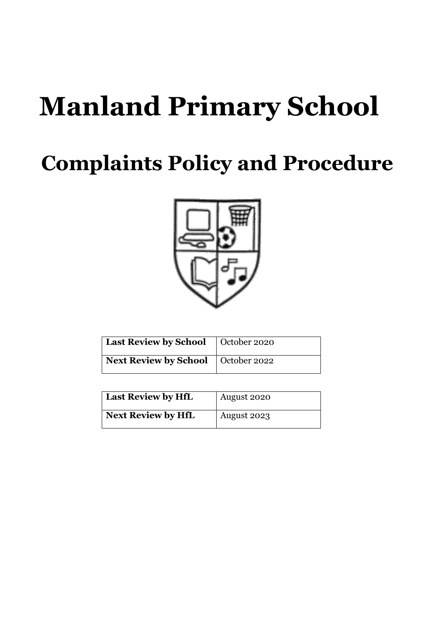# **Manland Primary School**

# **Complaints Policy and Procedure**



| Last Review by School   October 2020 |  |
|--------------------------------------|--|
| Next Review by School   October 2022 |  |

| <b>Last Review by HfL</b> | August 2020 |
|---------------------------|-------------|
| <b>Next Review by HfL</b> | August 2023 |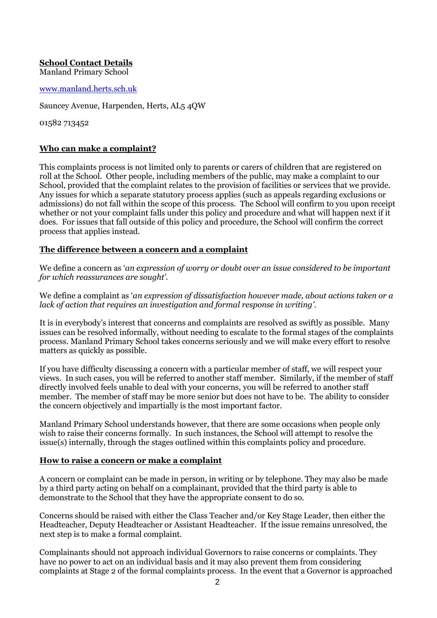# **School Contact Details**

Manland Primary School

#### [www.manland.herts.sch.uk](http://www.manland.herts.sch.uk/)

Sauncey Avenue, Harpenden, Herts, AL5 4QW

01582 713452

#### **Who can make a complaint?**

This complaints process is not limited only to parents or carers of children that are registered on roll at the School. Other people, including members of the public, may make a complaint to our School, provided that the complaint relates to the provision of facilities or services that we provide. Any issues for which a separate statutory process applies (such as appeals regarding exclusions or admissions) do not fall within the scope of this process. The School will confirm to you upon receipt whether or not your complaint falls under this policy and procedure and what will happen next if it does. For issues that fall outside of this policy and procedure, the School will confirm the correct process that applies instead.

#### **The difference between a concern and a complaint**

We define a concern as '*an expression of worry or doubt over an issue considered to be important for which reassurances are sought'*.

We define a complaint as '*an expression of dissatisfaction however made, about actions taken or a lack of action that requires an investigation and formal response in writing'*.

It is in everybody's interest that concerns and complaints are resolved as swiftly as possible. Many issues can be resolved informally, without needing to escalate to the formal stages of the complaints process. Manland Primary School takes concerns seriously and we will make every effort to resolve matters as quickly as possible.

If you have difficulty discussing a concern with a particular member of staff, we will respect your views. In such cases, you will be referred to another staff member. Similarly, if the member of staff directly involved feels unable to deal with your concerns, you will be referred to another staff member. The member of staff may be more senior but does not have to be. The ability to consider the concern objectively and impartially is the most important factor.

Manland Primary School understands however, that there are some occasions when people only wish to raise their concerns formally. In such instances, the School will attempt to resolve the issue(s) internally, through the stages outlined within this complaints policy and procedure.

#### **How to raise a concern or make a complaint**

A concern or complaint can be made in person, in writing or by telephone. They may also be made by a third party acting on behalf on a complainant, provided that the third party is able to demonstrate to the School that they have the appropriate consent to do so.

Concerns should be raised with either the Class Teacher and/or Key Stage Leader, then either the Headteacher, Deputy Headteacher or Assistant Headteacher. If the issue remains unresolved, the next step is to make a formal complaint.

Complainants should not approach individual Governors to raise concerns or complaints. They have no power to act on an individual basis and it may also prevent them from considering complaints at Stage 2 of the formal complaints process. In the event that a Governor is approached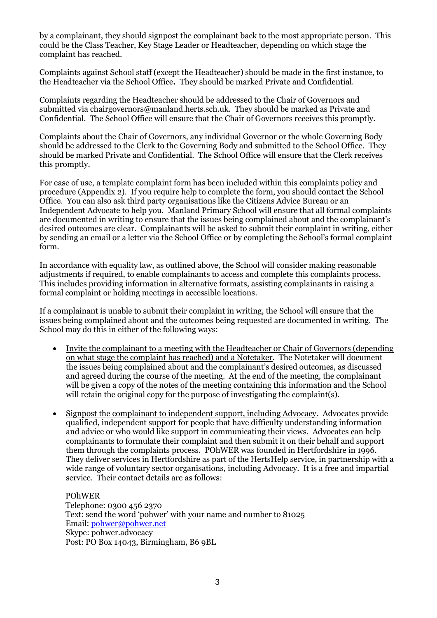by a complainant, they should signpost the complainant back to the most appropriate person. This could be the Class Teacher, Key Stage Leader or Headteacher, depending on which stage the complaint has reached.

Complaints against School staff (except the Headteacher) should be made in the first instance, to the Headteacher via the School Office*.* They should be marked Private and Confidential.

Complaints regarding the Headteacher should be addressed to the Chair of Governors and submitted via chairgovernors@manland.herts.sch.uk. They should be marked as Private and Confidential. The School Office will ensure that the Chair of Governors receives this promptly.

Complaints about the Chair of Governors, any individual Governor or the whole Governing Body should be addressed to the Clerk to the Governing Body and submitted to the School Office. They should be marked Private and Confidential. The School Office will ensure that the Clerk receives this promptly.

For ease of use, a template complaint form has been included within this complaints policy and procedure (Appendix 2). If you require help to complete the form, you should contact the School Office. You can also ask third party organisations like the Citizens Advice Bureau or an Independent Advocate to help you. Manland Primary School will ensure that all formal complaints are documented in writing to ensure that the issues being complained about and the complainant's desired outcomes are clear. Complainants will be asked to submit their complaint in writing, either by sending an email or a letter via the School Office or by completing the School's formal complaint form.

In accordance with equality law, as outlined above, the School will consider making reasonable adjustments if required, to enable complainants to access and complete this complaints process. This includes providing information in alternative formats, assisting complainants in raising a formal complaint or holding meetings in accessible locations.

If a complainant is unable to submit their complaint in writing, the School will ensure that the issues being complained about and the outcomes being requested are documented in writing. The School may do this in either of the following ways:

- Invite the complainant to a meeting with the Headteacher or Chair of Governors (depending on what stage the complaint has reached) and a Notetaker. The Notetaker will document the issues being complained about and the complainant's desired outcomes, as discussed and agreed during the course of the meeting. At the end of the meeting, the complainant will be given a copy of the notes of the meeting containing this information and the School will retain the original copy for the purpose of investigating the complaint(s).
- Signpost the complainant to independent support, including Advocacy. Advocates provide qualified, independent support for people that have difficulty understanding information and advice or who would like support in communicating their views. Advocates can help complainants to formulate their complaint and then submit it on their behalf and support them through the complaints process. POhWER was founded in Hertfordshire in 1996. They deliver services in Hertfordshire as part of the HertsHelp service, in partnership with a wide range of voluntary sector organisations, including Advocacy. It is a free and impartial service. Their contact details are as follows:

POhWER Telephone: 0300 456 2370 Text: send the word 'pohwer' with your name and number to 81025 Email: [pohwer@pohwer.net](mailto:pohwer@pohwer.net) Skype: pohwer.advocacy Post: PO Box 14043, Birmingham, B6 9BL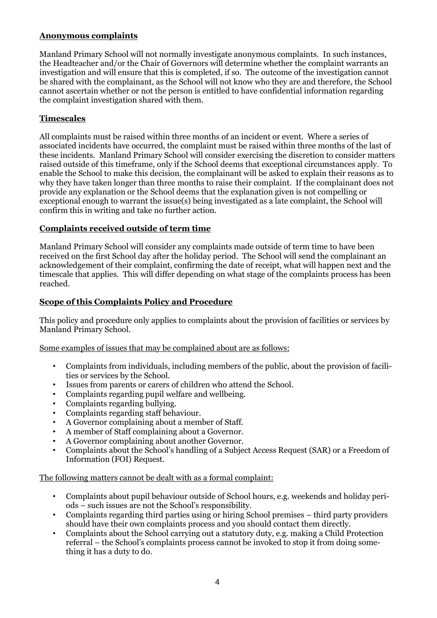# **Anonymous complaints**

Manland Primary School will not normally investigate anonymous complaints. In such instances, the Headteacher and/or the Chair of Governors will determine whether the complaint warrants an investigation and will ensure that this is completed, if so. The outcome of the investigation cannot be shared with the complainant, as the School will not know who they are and therefore, the School cannot ascertain whether or not the person is entitled to have confidential information regarding the complaint investigation shared with them.

# **Timescales**

All complaints must be raised within three months of an incident or event. Where a series of associated incidents have occurred, the complaint must be raised within three months of the last of these incidents. Manland Primary School will consider exercising the discretion to consider matters raised outside of this timeframe, only if the School deems that exceptional circumstances apply. To enable the School to make this decision, the complainant will be asked to explain their reasons as to why they have taken longer than three months to raise their complaint. If the complainant does not provide any explanation or the School deems that the explanation given is not compelling or exceptional enough to warrant the issue(s) being investigated as a late complaint, the School will confirm this in writing and take no further action.

#### **Complaints received outside of term time**

Manland Primary School will consider any complaints made outside of term time to have been received on the first School day after the holiday period. The School will send the complainant an acknowledgement of their complaint, confirming the date of receipt, what will happen next and the timescale that applies. This will differ depending on what stage of the complaints process has been reached.

# **Scope of this Complaints Policy and Procedure**

This policy and procedure only applies to complaints about the provision of facilities or services by Manland Primary School.

Some examples of issues that may be complained about are as follows:

- Complaints from individuals, including members of the public, about the provision of facilities or services by the School.
- Issues from parents or carers of children who attend the School.
- Complaints regarding pupil welfare and wellbeing.
- Complaints regarding bullying.
- Complaints regarding staff behaviour.
- A Governor complaining about a member of Staff.
- A member of Staff complaining about a Governor.
- A Governor complaining about another Governor.
- Complaints about the School's handling of a Subject Access Request (SAR) or a Freedom of Information (FOI) Request.

The following matters cannot be dealt with as a formal complaint:

- Complaints about pupil behaviour outside of School hours, e.g. weekends and holiday periods – such issues are not the School's responsibility.
- Complaints regarding third parties using or hiring School premises third party providers should have their own complaints process and you should contact them directly.
- Complaints about the School carrying out a statutory duty, e.g. making a Child Protection referral – the School's complaints process cannot be invoked to stop it from doing something it has a duty to do.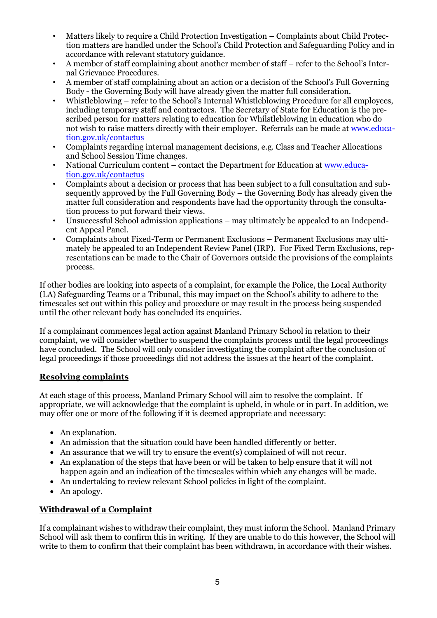- Matters likely to require a Child Protection Investigation Complaints about Child Protection matters are handled under the School's Child Protection and Safeguarding Policy and in accordance with relevant statutory guidance.
- A member of staff complaining about another member of staff refer to the School's Internal Grievance Procedures.
- A member of staff complaining about an action or a decision of the School's Full Governing Body - the Governing Body will have already given the matter full consideration.
- Whistleblowing refer to the School's Internal Whistleblowing Procedure for all employees, including temporary staff and contractors. The Secretary of State for Education is the prescribed person for matters relating to education for Whilstleblowing in education who do not wish to raise matters directly with their employer. Referrals can be made at [www.educa](http://www.education.gov.uk/contactus)[tion.gov.uk/contactus](http://www.education.gov.uk/contactus)
- Complaints regarding internal management decisions, e.g. Class and Teacher Allocations and School Session Time changes.
- National Curriculum content contact the Department for Education at [www.educa](http://www.education.gov.uk/contactus)[tion.gov.uk/contactus](http://www.education.gov.uk/contactus)
- Complaints about a decision or process that has been subject to a full consultation and subsequently approved by the Full Governing Body – the Governing Body has already given the matter full consideration and respondents have had the opportunity through the consultation process to put forward their views.
- Unsuccessful School admission applications may ultimately be appealed to an Independent Appeal Panel.
- Complaints about Fixed-Term or Permanent Exclusions Permanent Exclusions may ultimately be appealed to an Independent Review Panel (IRP). For Fixed Term Exclusions, representations can be made to the Chair of Governors outside the provisions of the complaints process.

If other bodies are looking into aspects of a complaint, for example the Police, the Local Authority (LA) Safeguarding Teams or a Tribunal, this may impact on the School's ability to adhere to the timescales set out within this policy and procedure or may result in the process being suspended until the other relevant body has concluded its enquiries.

If a complainant commences legal action against Manland Primary School in relation to their complaint, we will consider whether to suspend the complaints process until the legal proceedings have concluded. The School will only consider investigating the complaint after the conclusion of legal proceedings if those proceedings did not address the issues at the heart of the complaint.

# **Resolving complaints**

At each stage of this process, Manland Primary School will aim to resolve the complaint. If appropriate, we will acknowledge that the complaint is upheld, in whole or in part. In addition, we may offer one or more of the following if it is deemed appropriate and necessary:

- An explanation.
- An admission that the situation could have been handled differently or better.
- An assurance that we will try to ensure the event(s) complained of will not recur.
- An explanation of the steps that have been or will be taken to help ensure that it will not happen again and an indication of the timescales within which any changes will be made.
- An undertaking to review relevant School policies in light of the complaint.
- An apology.

# **Withdrawal of a Complaint**

If a complainant wishes to withdraw their complaint, they must inform the School. Manland Primary School will ask them to confirm this in writing. If they are unable to do this however, the School will write to them to confirm that their complaint has been withdrawn, in accordance with their wishes.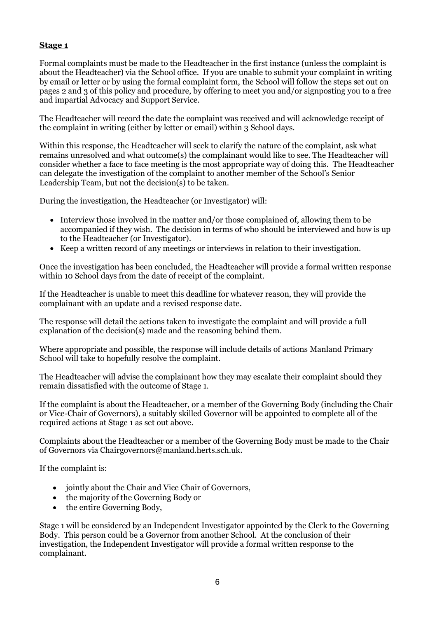# **Stage 1**

Formal complaints must be made to the Headteacher in the first instance (unless the complaint is about the Headteacher) via the School office. If you are unable to submit your complaint in writing by email or letter or by using the formal complaint form, the School will follow the steps set out on pages 2 and 3 of this policy and procedure, by offering to meet you and/or signposting you to a free and impartial Advocacy and Support Service.

The Headteacher will record the date the complaint was received and will acknowledge receipt of the complaint in writing (either by letter or email) within 3 School days.

Within this response, the Headteacher will seek to clarify the nature of the complaint, ask what remains unresolved and what outcome(s) the complainant would like to see. The Headteacher will consider whether a face to face meeting is the most appropriate way of doing this. The Headteacher can delegate the investigation of the complaint to another member of the School's Senior Leadership Team, but not the decision(s) to be taken.

During the investigation, the Headteacher (or Investigator) will:

- Interview those involved in the matter and/or those complained of, allowing them to be accompanied if they wish. The decision in terms of who should be interviewed and how is up to the Headteacher (or Investigator).
- Keep a written record of any meetings or interviews in relation to their investigation.

Once the investigation has been concluded, the Headteacher will provide a formal written response within 10 School days from the date of receipt of the complaint.

If the Headteacher is unable to meet this deadline for whatever reason, they will provide the complainant with an update and a revised response date.

The response will detail the actions taken to investigate the complaint and will provide a full explanation of the decision(s) made and the reasoning behind them.

Where appropriate and possible, the response will include details of actions Manland Primary School will take to hopefully resolve the complaint.

The Headteacher will advise the complainant how they may escalate their complaint should they remain dissatisfied with the outcome of Stage 1.

If the complaint is about the Headteacher, or a member of the Governing Body (including the Chair or Vice-Chair of Governors), a suitably skilled Governor will be appointed to complete all of the required actions at Stage 1 as set out above.

Complaints about the Headteacher or a member of the Governing Body must be made to the Chair of Governors via Chairgovernors@manland.herts.sch.uk.

If the complaint is:

- jointly about the Chair and Vice Chair of Governors,
- the majority of the Governing Body or
- the entire Governing Body,

Stage 1 will be considered by an Independent Investigator appointed by the Clerk to the Governing Body. This person could be a Governor from another School. At the conclusion of their investigation, the Independent Investigator will provide a formal written response to the complainant.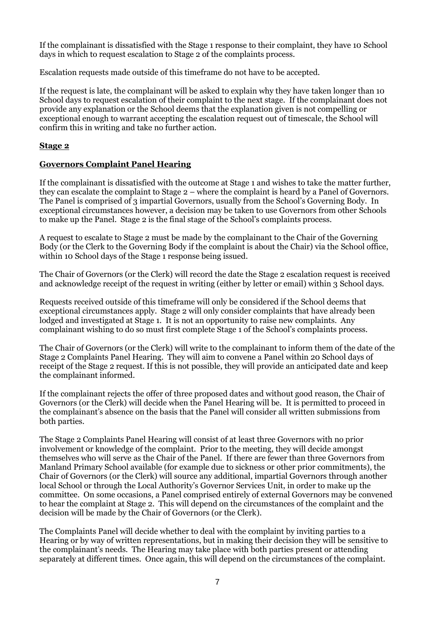If the complainant is dissatisfied with the Stage 1 response to their complaint, they have 10 School days in which to request escalation to Stage 2 of the complaints process.

Escalation requests made outside of this timeframe do not have to be accepted.

If the request is late, the complainant will be asked to explain why they have taken longer than 10 School days to request escalation of their complaint to the next stage. If the complainant does not provide any explanation or the School deems that the explanation given is not compelling or exceptional enough to warrant accepting the escalation request out of timescale, the School will confirm this in writing and take no further action.

# **Stage 2**

#### **Governors Complaint Panel Hearing**

If the complainant is dissatisfied with the outcome at Stage 1 and wishes to take the matter further, they can escalate the complaint to Stage 2 – where the complaint is heard by a Panel of Governors. The Panel is comprised of 3 impartial Governors, usually from the School's Governing Body. In exceptional circumstances however, a decision may be taken to use Governors from other Schools to make up the Panel. Stage 2 is the final stage of the School's complaints process.

A request to escalate to Stage 2 must be made by the complainant to the Chair of the Governing Body (or the Clerk to the Governing Body if the complaint is about the Chair) via the School office, within 10 School days of the Stage 1 response being issued.

The Chair of Governors (or the Clerk) will record the date the Stage 2 escalation request is received and acknowledge receipt of the request in writing (either by letter or email) within 3 School days.

Requests received outside of this timeframe will only be considered if the School deems that exceptional circumstances apply. Stage 2 will only consider complaints that have already been lodged and investigated at Stage 1. It is not an opportunity to raise new complaints. Any complainant wishing to do so must first complete Stage 1 of the School's complaints process.

The Chair of Governors (or the Clerk) will write to the complainant to inform them of the date of the Stage 2 Complaints Panel Hearing. They will aim to convene a Panel within 20 School days of receipt of the Stage 2 request. If this is not possible, they will provide an anticipated date and keep the complainant informed.

If the complainant rejects the offer of three proposed dates and without good reason, the Chair of Governors (or the Clerk) will decide when the Panel Hearing will be. It is permitted to proceed in the complainant's absence on the basis that the Panel will consider all written submissions from both parties.

The Stage 2 Complaints Panel Hearing will consist of at least three Governors with no prior involvement or knowledge of the complaint. Prior to the meeting, they will decide amongst themselves who will serve as the Chair of the Panel. If there are fewer than three Governors from Manland Primary School available (for example due to sickness or other prior commitments), the Chair of Governors (or the Clerk) will source any additional, impartial Governors through another local School or through the Local Authority's Governor Services Unit, in order to make up the committee. On some occasions, a Panel comprised entirely of external Governors may be convened to hear the complaint at Stage 2. This will depend on the circumstances of the complaint and the decision will be made by the Chair of Governors (or the Clerk).

The Complaints Panel will decide whether to deal with the complaint by inviting parties to a Hearing or by way of written representations, but in making their decision they will be sensitive to the complainant's needs. The Hearing may take place with both parties present or attending separately at different times. Once again, this will depend on the circumstances of the complaint.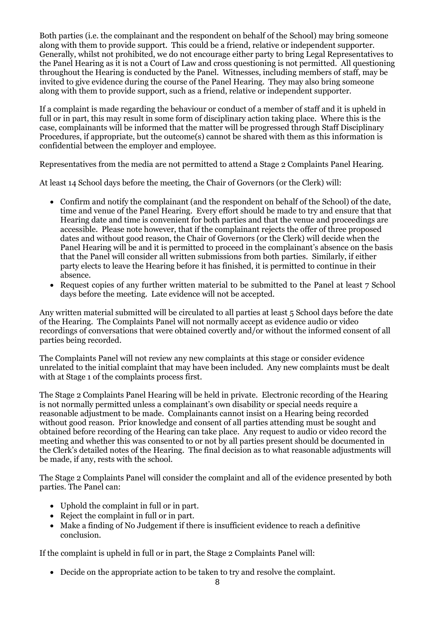Both parties (i.e. the complainant and the respondent on behalf of the School) may bring someone along with them to provide support. This could be a friend, relative or independent supporter. Generally, whilst not prohibited, we do not encourage either party to bring Legal Representatives to the Panel Hearing as it is not a Court of Law and cross questioning is not permitted. All questioning throughout the Hearing is conducted by the Panel. Witnesses, including members of staff, may be invited to give evidence during the course of the Panel Hearing. They may also bring someone along with them to provide support, such as a friend, relative or independent supporter.

If a complaint is made regarding the behaviour or conduct of a member of staff and it is upheld in full or in part, this may result in some form of disciplinary action taking place. Where this is the case, complainants will be informed that the matter will be progressed through Staff Disciplinary Procedures, if appropriate, but the outcome(s) cannot be shared with them as this information is confidential between the employer and employee.

Representatives from the media are not permitted to attend a Stage 2 Complaints Panel Hearing.

At least 14 School days before the meeting, the Chair of Governors (or the Clerk) will:

- Confirm and notify the complainant (and the respondent on behalf of the School) of the date, time and venue of the Panel Hearing. Every effort should be made to try and ensure that that Hearing date and time is convenient for both parties and that the venue and proceedings are accessible. Please note however, that if the complainant rejects the offer of three proposed dates and without good reason, the Chair of Governors (or the Clerk) will decide when the Panel Hearing will be and it is permitted to proceed in the complainant's absence on the basis that the Panel will consider all written submissions from both parties. Similarly, if either party elects to leave the Hearing before it has finished, it is permitted to continue in their absence.
- Request copies of any further written material to be submitted to the Panel at least 7 School days before the meeting. Late evidence will not be accepted.

Any written material submitted will be circulated to all parties at least 5 School days before the date of the Hearing. The Complaints Panel will not normally accept as evidence audio or video recordings of conversations that were obtained covertly and/or without the informed consent of all parties being recorded.

The Complaints Panel will not review any new complaints at this stage or consider evidence unrelated to the initial complaint that may have been included. Any new complaints must be dealt with at Stage 1 of the complaints process first.

The Stage 2 Complaints Panel Hearing will be held in private. Electronic recording of the Hearing is not normally permitted unless a complainant's own disability or special needs require a reasonable adjustment to be made. Complainants cannot insist on a Hearing being recorded without good reason. Prior knowledge and consent of all parties attending must be sought and obtained before recording of the Hearing can take place. Any request to audio or video record the meeting and whether this was consented to or not by all parties present should be documented in the Clerk's detailed notes of the Hearing. The final decision as to what reasonable adjustments will be made, if any, rests with the school.

The Stage 2 Complaints Panel will consider the complaint and all of the evidence presented by both parties. The Panel can:

- Uphold the complaint in full or in part.
- Reject the complaint in full or in part.
- Make a finding of No Judgement if there is insufficient evidence to reach a definitive conclusion.

If the complaint is upheld in full or in part, the Stage 2 Complaints Panel will:

• Decide on the appropriate action to be taken to try and resolve the complaint.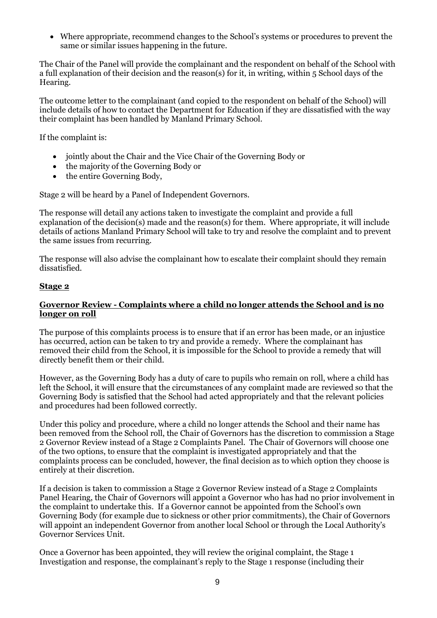• Where appropriate, recommend changes to the School's systems or procedures to prevent the same or similar issues happening in the future.

The Chair of the Panel will provide the complainant and the respondent on behalf of the School with a full explanation of their decision and the reason(s) for it, in writing, within 5 School days of the Hearing.

The outcome letter to the complainant (and copied to the respondent on behalf of the School) will include details of how to contact the Department for Education if they are dissatisfied with the way their complaint has been handled by Manland Primary School.

If the complaint is:

- jointly about the Chair and the Vice Chair of the Governing Body or
- the majority of the Governing Body or
- the entire Governing Body,

Stage 2 will be heard by a Panel of Independent Governors.

The response will detail any actions taken to investigate the complaint and provide a full explanation of the decision(s) made and the reason(s) for them. Where appropriate, it will include details of actions Manland Primary School will take to try and resolve the complaint and to prevent the same issues from recurring.

The response will also advise the complainant how to escalate their complaint should they remain dissatisfied.

#### **Stage 2**

#### **Governor Review - Complaints where a child no longer attends the School and is no longer on roll**

The purpose of this complaints process is to ensure that if an error has been made, or an injustice has occurred, action can be taken to try and provide a remedy. Where the complainant has removed their child from the School, it is impossible for the School to provide a remedy that will directly benefit them or their child.

However, as the Governing Body has a duty of care to pupils who remain on roll, where a child has left the School, it will ensure that the circumstances of any complaint made are reviewed so that the Governing Body is satisfied that the School had acted appropriately and that the relevant policies and procedures had been followed correctly.

Under this policy and procedure, where a child no longer attends the School and their name has been removed from the School roll, the Chair of Governors has the discretion to commission a Stage 2 Governor Review instead of a Stage 2 Complaints Panel. The Chair of Governors will choose one of the two options, to ensure that the complaint is investigated appropriately and that the complaints process can be concluded, however, the final decision as to which option they choose is entirely at their discretion.

If a decision is taken to commission a Stage 2 Governor Review instead of a Stage 2 Complaints Panel Hearing, the Chair of Governors will appoint a Governor who has had no prior involvement in the complaint to undertake this. If a Governor cannot be appointed from the School's own Governing Body (for example due to sickness or other prior commitments), the Chair of Governors will appoint an independent Governor from another local School or through the Local Authority's Governor Services Unit.

Once a Governor has been appointed, they will review the original complaint, the Stage 1 Investigation and response, the complainant's reply to the Stage 1 response (including their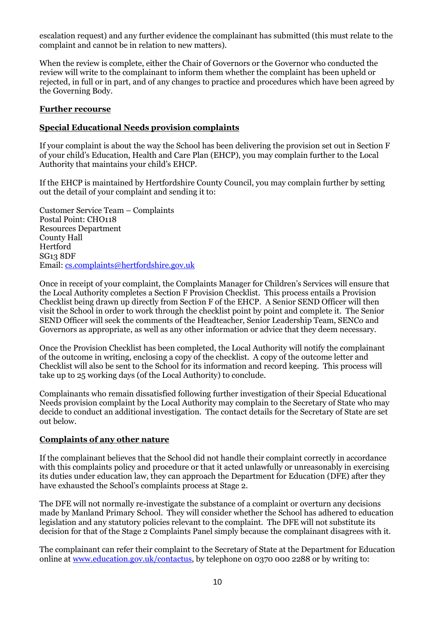escalation request) and any further evidence the complainant has submitted (this must relate to the complaint and cannot be in relation to new matters).

When the review is complete, either the Chair of Governors or the Governor who conducted the review will write to the complainant to inform them whether the complaint has been upheld or rejected, in full or in part, and of any changes to practice and procedures which have been agreed by the Governing Body.

#### **Further recourse**

#### **Special Educational Needs provision complaints**

If your complaint is about the way the School has been delivering the provision set out in Section F of your child's Education, Health and Care Plan (EHCP), you may complain further to the Local Authority that maintains your child's EHCP.

If the EHCP is maintained by Hertfordshire County Council, you may complain further by setting out the detail of your complaint and sending it to:

Customer Service Team – Complaints Postal Point: CHO118 Resources Department County Hall Hertford SG13 8DF Email[: cs.complaints@hertfordshire.gov.uk](mailto:cs.complaints@hertfordshire.gov.uk)

Once in receipt of your complaint, the Complaints Manager for Children's Services will ensure that the Local Authority completes a Section F Provision Checklist. This process entails a Provision Checklist being drawn up directly from Section F of the EHCP. A Senior SEND Officer will then visit the School in order to work through the checklist point by point and complete it. The Senior SEND Officer will seek the comments of the Headteacher, Senior Leadership Team, SENCo and Governors as appropriate, as well as any other information or advice that they deem necessary.

Once the Provision Checklist has been completed, the Local Authority will notify the complainant of the outcome in writing, enclosing a copy of the checklist. A copy of the outcome letter and Checklist will also be sent to the School for its information and record keeping. This process will take up to 25 working days (of the Local Authority) to conclude.

Complainants who remain dissatisfied following further investigation of their Special Educational Needs provision complaint by the Local Authority may complain to the Secretary of State who may decide to conduct an additional investigation. The contact details for the Secretary of State are set out below.

#### **Complaints of any other nature**

If the complainant believes that the School did not handle their complaint correctly in accordance with this complaints policy and procedure or that it acted unlawfully or unreasonably in exercising its duties under education law, they can approach the Department for Education (DFE) after they have exhausted the School's complaints process at Stage 2.

The DFE will not normally re-investigate the substance of a complaint or overturn any decisions made by Manland Primary School. They will consider whether the School has adhered to education legislation and any statutory policies relevant to the complaint. The DFE will not substitute its decision for that of the Stage 2 Complaints Panel simply because the complainant disagrees with it.

The complainant can refer their complaint to the Secretary of State at the Department for Education online at [www.education.gov.uk/contactus,](http://www.education.gov.uk/contactus) by telephone on 0370 000 2288 or by writing to: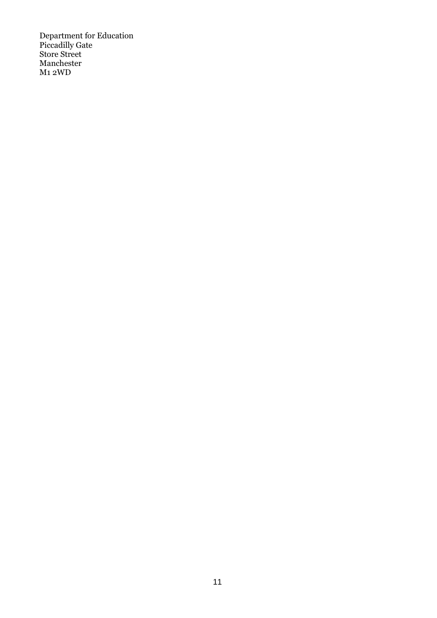Department for Education Piccadilly Gate Store Street Manchester M<sub>1</sub> 2WD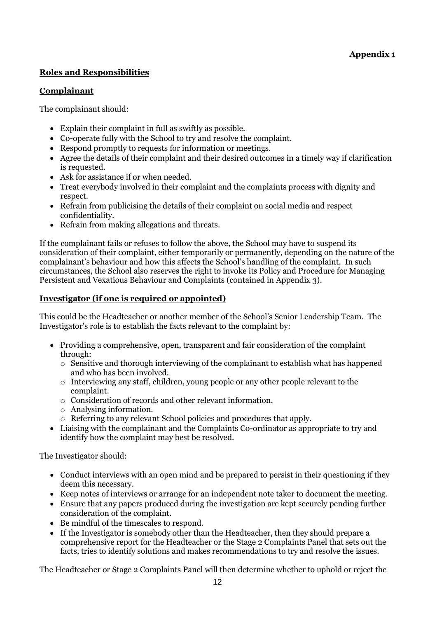# **Appendix 1**

# **Roles and Responsibilities**

# **Complainant**

The complainant should:

- Explain their complaint in full as swiftly as possible.
- Co-operate fully with the School to try and resolve the complaint.
- Respond promptly to requests for information or meetings.
- Agree the details of their complaint and their desired outcomes in a timely way if clarification is requested.
- Ask for assistance if or when needed.
- Treat everybody involved in their complaint and the complaints process with dignity and respect.
- Refrain from publicising the details of their complaint on social media and respect confidentiality.
- Refrain from making allegations and threats.

If the complainant fails or refuses to follow the above, the School may have to suspend its consideration of their complaint, either temporarily or permanently, depending on the nature of the complainant's behaviour and how this affects the School's handling of the complaint. In such circumstances, the School also reserves the right to invoke its Policy and Procedure for Managing Persistent and Vexatious Behaviour and Complaints (contained in Appendix 3).

# **Investigator (if one is required or appointed)**

This could be the Headteacher or another member of the School's Senior Leadership Team. The Investigator's role is to establish the facts relevant to the complaint by:

- Providing a comprehensive, open, transparent and fair consideration of the complaint through:
	- o Sensitive and thorough interviewing of the complainant to establish what has happened and who has been involved.
	- o Interviewing any staff, children, young people or any other people relevant to the complaint.
	- o Consideration of records and other relevant information.
	- o Analysing information.
	- o Referring to any relevant School policies and procedures that apply.
- Liaising with the complainant and the Complaints Co-ordinator as appropriate to try and identify how the complaint may best be resolved.

The Investigator should:

- Conduct interviews with an open mind and be prepared to persist in their questioning if they deem this necessary.
- Keep notes of interviews or arrange for an independent note taker to document the meeting.
- Ensure that any papers produced during the investigation are kept securely pending further consideration of the complaint.
- Be mindful of the timescales to respond.
- If the Investigator is somebody other than the Headteacher, then they should prepare a comprehensive report for the Headteacher or the Stage 2 Complaints Panel that sets out the facts, tries to identify solutions and makes recommendations to try and resolve the issues.

The Headteacher or Stage 2 Complaints Panel will then determine whether to uphold or reject the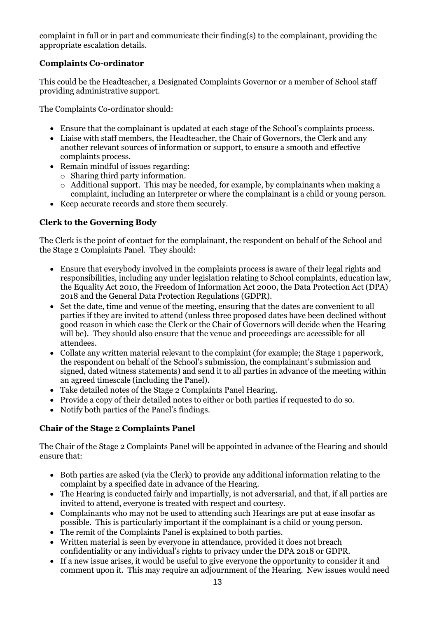complaint in full or in part and communicate their finding(s) to the complainant, providing the appropriate escalation details.

# **Complaints Co-ordinator**

This could be the Headteacher, a Designated Complaints Governor or a member of School staff providing administrative support.

The Complaints Co-ordinator should:

- Ensure that the complainant is updated at each stage of the School's complaints process.
- Liaise with staff members, the Headteacher, the Chair of Governors, the Clerk and any another relevant sources of information or support, to ensure a smooth and effective complaints process.
- Remain mindful of issues regarding:
	- o Sharing third party information.
	- o Additional support. This may be needed, for example, by complainants when making a complaint, including an Interpreter or where the complainant is a child or young person.
- Keep accurate records and store them securely.

# **Clerk to the Governing Body**

The Clerk is the point of contact for the complainant, the respondent on behalf of the School and the Stage 2 Complaints Panel. They should:

- Ensure that everybody involved in the complaints process is aware of their legal rights and responsibilities, including any under legislation relating to School complaints, education law, the Equality Act 2010, the Freedom of Information Act 2000, the Data Protection Act (DPA) 2018 and the General Data Protection Regulations (GDPR).
- Set the date, time and venue of the meeting, ensuring that the dates are convenient to all parties if they are invited to attend (unless three proposed dates have been declined without good reason in which case the Clerk or the Chair of Governors will decide when the Hearing will be). They should also ensure that the venue and proceedings are accessible for all attendees.
- Collate any written material relevant to the complaint (for example; the Stage 1 paperwork, the respondent on behalf of the School's submission, the complainant's submission and signed, dated witness statements) and send it to all parties in advance of the meeting within an agreed timescale (including the Panel).
- Take detailed notes of the Stage 2 Complaints Panel Hearing.
- Provide a copy of their detailed notes to either or both parties if requested to do so.
- Notify both parties of the Panel's findings.

# **Chair of the Stage 2 Complaints Panel**

The Chair of the Stage 2 Complaints Panel will be appointed in advance of the Hearing and should ensure that:

- Both parties are asked (via the Clerk) to provide any additional information relating to the complaint by a specified date in advance of the Hearing.
- The Hearing is conducted fairly and impartially, is not adversarial, and that, if all parties are invited to attend, everyone is treated with respect and courtesy.
- Complainants who may not be used to attending such Hearings are put at ease insofar as possible. This is particularly important if the complainant is a child or young person.
- The remit of the Complaints Panel is explained to both parties.
- Written material is seen by everyone in attendance, provided it does not breach confidentiality or any individual's rights to privacy under the DPA 2018 or GDPR.
- If a new issue arises, it would be useful to give everyone the opportunity to consider it and comment upon it. This may require an adjournment of the Hearing. New issues would need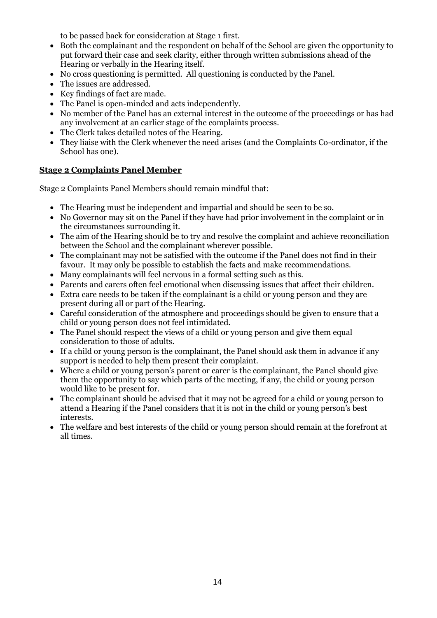to be passed back for consideration at Stage 1 first.

- Both the complainant and the respondent on behalf of the School are given the opportunity to put forward their case and seek clarity, either through written submissions ahead of the Hearing or verbally in the Hearing itself.
- No cross questioning is permitted. All questioning is conducted by the Panel.
- The issues are addressed.
- Key findings of fact are made.
- The Panel is open-minded and acts independently.
- No member of the Panel has an external interest in the outcome of the proceedings or has had any involvement at an earlier stage of the complaints process.
- The Clerk takes detailed notes of the Hearing.
- They liaise with the Clerk whenever the need arises (and the Complaints Co-ordinator, if the School has one).

#### **Stage 2 Complaints Panel Member**

Stage 2 Complaints Panel Members should remain mindful that:

- The Hearing must be independent and impartial and should be seen to be so.
- No Governor may sit on the Panel if they have had prior involvement in the complaint or in the circumstances surrounding it.
- The aim of the Hearing should be to try and resolve the complaint and achieve reconciliation between the School and the complainant wherever possible.
- The complainant may not be satisfied with the outcome if the Panel does not find in their favour. It may only be possible to establish the facts and make recommendations.
- Many complainants will feel nervous in a formal setting such as this.
- Parents and carers often feel emotional when discussing issues that affect their children.
- Extra care needs to be taken if the complainant is a child or young person and they are present during all or part of the Hearing.
- Careful consideration of the atmosphere and proceedings should be given to ensure that a child or young person does not feel intimidated.
- The Panel should respect the views of a child or young person and give them equal consideration to those of adults.
- If a child or young person is the complainant, the Panel should ask them in advance if any support is needed to help them present their complaint.
- Where a child or young person's parent or carer is the complainant, the Panel should give them the opportunity to say which parts of the meeting, if any, the child or young person would like to be present for.
- The complainant should be advised that it may not be agreed for a child or young person to attend a Hearing if the Panel considers that it is not in the child or young person's best interests.
- The welfare and best interests of the child or young person should remain at the forefront at all times.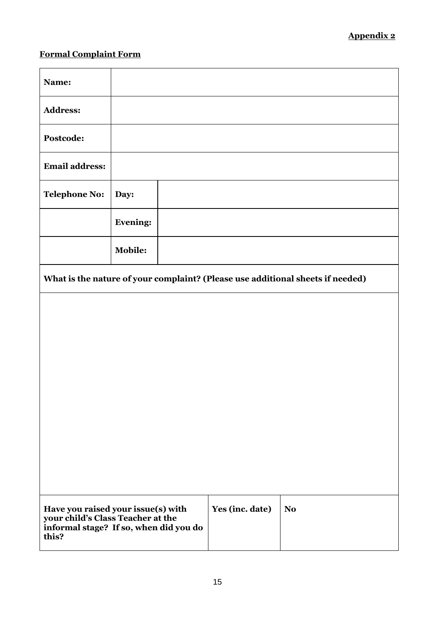# **Formal Complaint Form**

| Name:                                                                                                                      |                 |  |                 |                |  |
|----------------------------------------------------------------------------------------------------------------------------|-----------------|--|-----------------|----------------|--|
| <b>Address:</b>                                                                                                            |                 |  |                 |                |  |
| Postcode:                                                                                                                  |                 |  |                 |                |  |
| <b>Email address:</b>                                                                                                      |                 |  |                 |                |  |
| <b>Telephone No:</b>                                                                                                       | Day:            |  |                 |                |  |
|                                                                                                                            | <b>Evening:</b> |  |                 |                |  |
|                                                                                                                            | <b>Mobile:</b>  |  |                 |                |  |
| What is the nature of your complaint? (Please use additional sheets if needed)                                             |                 |  |                 |                |  |
|                                                                                                                            |                 |  |                 |                |  |
|                                                                                                                            |                 |  |                 |                |  |
|                                                                                                                            |                 |  |                 |                |  |
|                                                                                                                            |                 |  |                 |                |  |
|                                                                                                                            |                 |  |                 |                |  |
|                                                                                                                            |                 |  |                 |                |  |
|                                                                                                                            |                 |  |                 |                |  |
| Have you raised your issue(s) with<br>your child's Class Teacher at the<br>informal stage? If so, when did you do<br>this? |                 |  | Yes (inc. date) | N <sub>o</sub> |  |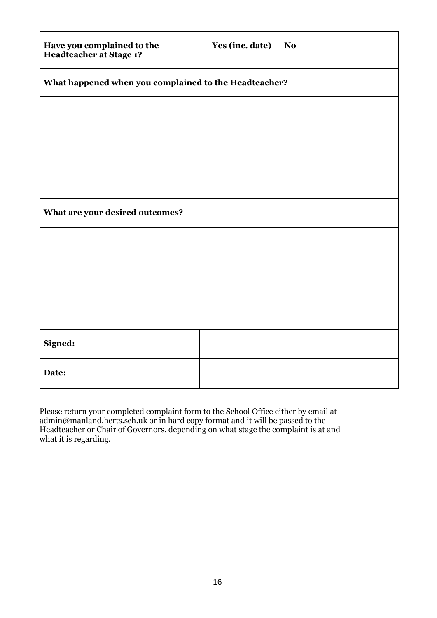| Have you complained to the<br>Headteacher at Stage 1? | Yes (inc. date) | No. |  |  |  |
|-------------------------------------------------------|-----------------|-----|--|--|--|
| What happened when you complained to the Headteacher? |                 |     |  |  |  |
|                                                       |                 |     |  |  |  |
|                                                       |                 |     |  |  |  |
|                                                       |                 |     |  |  |  |
| What are your desired outcomes?                       |                 |     |  |  |  |
|                                                       |                 |     |  |  |  |
|                                                       |                 |     |  |  |  |
|                                                       |                 |     |  |  |  |
|                                                       |                 |     |  |  |  |
| Signed:                                               |                 |     |  |  |  |
| Date:                                                 |                 |     |  |  |  |

Please return your completed complaint form to the School Office either by email at admin@manland.herts.sch.uk or in hard copy format and it will be passed to the Headteacher or Chair of Governors, depending on what stage the complaint is at and what it is regarding.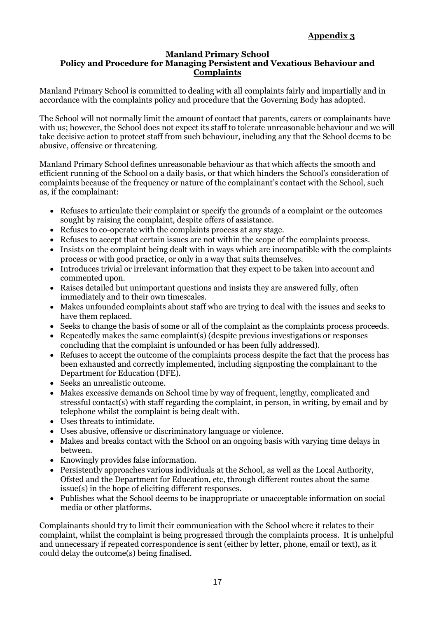# **Appendix 3**

#### **Manland Primary School Policy and Procedure for Managing Persistent and Vexatious Behaviour and Complaints**

Manland Primary School is committed to dealing with all complaints fairly and impartially and in accordance with the complaints policy and procedure that the Governing Body has adopted.

The School will not normally limit the amount of contact that parents, carers or complainants have with us; however, the School does not expect its staff to tolerate unreasonable behaviour and we will take decisive action to protect staff from such behaviour, including any that the School deems to be abusive, offensive or threatening.

Manland Primary School defines unreasonable behaviour as that which affects the smooth and efficient running of the School on a daily basis, or that which hinders the School's consideration of complaints because of the frequency or nature of the complainant's contact with the School, such as, if the complainant:

- Refuses to articulate their complaint or specify the grounds of a complaint or the outcomes sought by raising the complaint, despite offers of assistance.
- Refuses to co-operate with the complaints process at any stage.
- Refuses to accept that certain issues are not within the scope of the complaints process.
- Insists on the complaint being dealt with in ways which are incompatible with the complaints process or with good practice, or only in a way that suits themselves.
- Introduces trivial or irrelevant information that they expect to be taken into account and commented upon.
- Raises detailed but unimportant questions and insists they are answered fully, often immediately and to their own timescales.
- Makes unfounded complaints about staff who are trying to deal with the issues and seeks to have them replaced.
- Seeks to change the basis of some or all of the complaint as the complaints process proceeds.
- Repeatedly makes the same complaint(s) (despite previous investigations or responses concluding that the complaint is unfounded or has been fully addressed).
- Refuses to accept the outcome of the complaints process despite the fact that the process has been exhausted and correctly implemented, including signposting the complainant to the Department for Education (DFE).
- Seeks an unrealistic outcome.
- Makes excessive demands on School time by way of frequent, lengthy, complicated and stressful contact(s) with staff regarding the complaint, in person, in writing, by email and by telephone whilst the complaint is being dealt with.
- Uses threats to intimidate.
- Uses abusive, offensive or discriminatory language or violence.
- Makes and breaks contact with the School on an ongoing basis with varying time delays in between.
- Knowingly provides false information.
- Persistently approaches various individuals at the School, as well as the Local Authority, Ofsted and the Department for Education, etc, through different routes about the same issue(s) in the hope of eliciting different responses.
- Publishes what the School deems to be inappropriate or unacceptable information on social media or other platforms.

Complainants should try to limit their communication with the School where it relates to their complaint, whilst the complaint is being progressed through the complaints process. It is unhelpful and unnecessary if repeated correspondence is sent (either by letter, phone, email or text), as it could delay the outcome(s) being finalised.